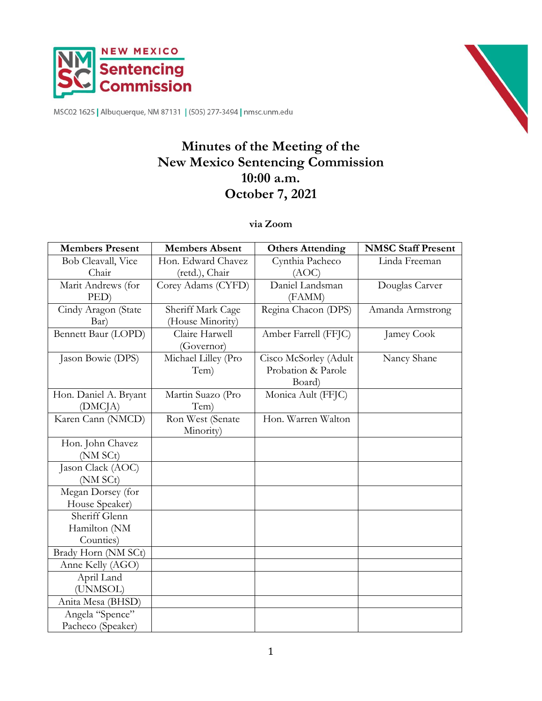



MSC02 1625 | Albuquerque, NM 87131 | (505) 277-3494 | nmsc.unm.edu

# **Minutes of the Meeting of the New Mexico Sentencing Commission 10:00 a.m. October 7, 2021**

### **via Zoom**

| <b>Members Present</b> | <b>Members Absent</b> | <b>Others Attending</b> | <b>NMSC Staff Present</b> |
|------------------------|-----------------------|-------------------------|---------------------------|
| Bob Cleavall, Vice     | Hon. Edward Chavez    | Cynthia Pacheco         | Linda Freeman             |
| Chair                  | (retd.), Chair        | (AOC)                   |                           |
| Marit Andrews (for     | Corey Adams (CYFD)    | Daniel Landsman         | Douglas Carver            |
| PED)                   |                       | (FAMM)                  |                           |
| Cindy Aragon (State    | Sheriff Mark Cage     | Regina Chacon (DPS)     | Amanda Armstrong          |
| Bar)                   | (House Minority)      |                         |                           |
| Bennett Baur (LOPD)    | Claire Harwell        | Amber Farrell (FFJC)    | Jamey Cook                |
|                        | (Governor)            |                         |                           |
| Jason Bowie (DPS)      | Michael Lilley (Pro   | Cisco McSorley (Adult   | Nancy Shane               |
|                        | Tem)                  | Probation & Parole      |                           |
|                        |                       | Board)                  |                           |
| Hon. Daniel A. Bryant  | Martin Suazo (Pro     | Monica Ault (FFJC)      |                           |
| (DMCJA)                | Tem)                  |                         |                           |
| Karen Cann (NMCD)      | Ron West (Senate      | Hon. Warren Walton      |                           |
|                        | Minority)             |                         |                           |
| Hon. John Chavez       |                       |                         |                           |
| (NM SCt)               |                       |                         |                           |
| Jason Clack (AOC)      |                       |                         |                           |
| (NM SCt)               |                       |                         |                           |
| Megan Dorsey (for      |                       |                         |                           |
| House Speaker)         |                       |                         |                           |
| Sheriff Glenn          |                       |                         |                           |
| Hamilton (NM           |                       |                         |                           |
| Counties)              |                       |                         |                           |
| Brady Horn (NM SCt)    |                       |                         |                           |
| Anne Kelly (AGO)       |                       |                         |                           |
| April Land             |                       |                         |                           |
| (UNMSOL)               |                       |                         |                           |
| Anita Mesa (BHSD)      |                       |                         |                           |
| Angela "Spence"        |                       |                         |                           |
| Pacheco (Speaker)      |                       |                         |                           |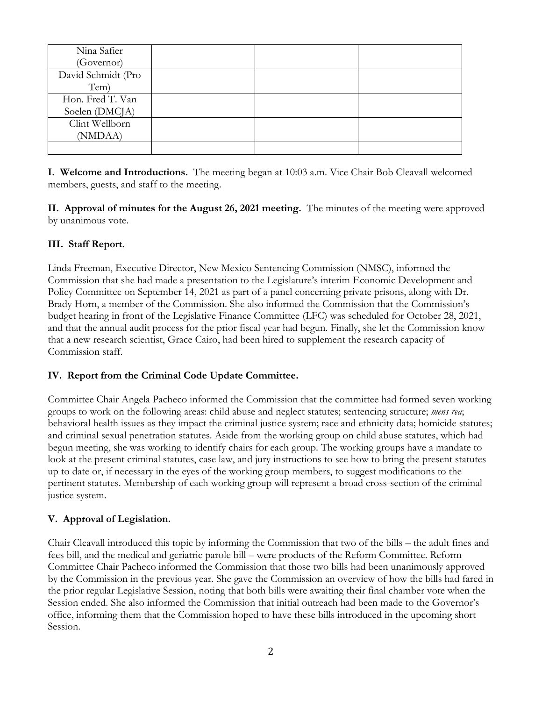| Nina Safier        |  |  |
|--------------------|--|--|
| (Governor)         |  |  |
| David Schmidt (Pro |  |  |
| Tem)               |  |  |
| Hon. Fred T. Van   |  |  |
| Soelen (DMCJA)     |  |  |
| Clint Wellborn     |  |  |
| (NMDAA)            |  |  |
|                    |  |  |

**I. Welcome and Introductions.** The meeting began at 10:03 a.m. Vice Chair Bob Cleavall welcomed members, guests, and staff to the meeting.

**II. Approval of minutes for the August 26, 2021 meeting.** The minutes of the meeting were approved by unanimous vote.

# **III. Staff Report.**

Linda Freeman, Executive Director, New Mexico Sentencing Commission (NMSC), informed the Commission that she had made a presentation to the Legislature's interim Economic Development and Policy Committee on September 14, 2021 as part of a panel concerning private prisons, along with Dr. Brady Horn, a member of the Commission. She also informed the Commission that the Commission's budget hearing in front of the Legislative Finance Committee (LFC) was scheduled for October 28, 2021, and that the annual audit process for the prior fiscal year had begun. Finally, she let the Commission know that a new research scientist, Grace Cairo, had been hired to supplement the research capacity of Commission staff.

### **IV. Report from the Criminal Code Update Committee.**

Committee Chair Angela Pacheco informed the Commission that the committee had formed seven working groups to work on the following areas: child abuse and neglect statutes; sentencing structure; *mens rea*; behavioral health issues as they impact the criminal justice system; race and ethnicity data; homicide statutes; and criminal sexual penetration statutes. Aside from the working group on child abuse statutes, which had begun meeting, she was working to identify chairs for each group. The working groups have a mandate to look at the present criminal statutes, case law, and jury instructions to see how to bring the present statutes up to date or, if necessary in the eyes of the working group members, to suggest modifications to the pertinent statutes. Membership of each working group will represent a broad cross-section of the criminal justice system.

### **V. Approval of Legislation.**

Chair Cleavall introduced this topic by informing the Commission that two of the bills – the adult fines and fees bill, and the medical and geriatric parole bill – were products of the Reform Committee. Reform Committee Chair Pacheco informed the Commission that those two bills had been unanimously approved by the Commission in the previous year. She gave the Commission an overview of how the bills had fared in the prior regular Legislative Session, noting that both bills were awaiting their final chamber vote when the Session ended. She also informed the Commission that initial outreach had been made to the Governor's office, informing them that the Commission hoped to have these bills introduced in the upcoming short Session.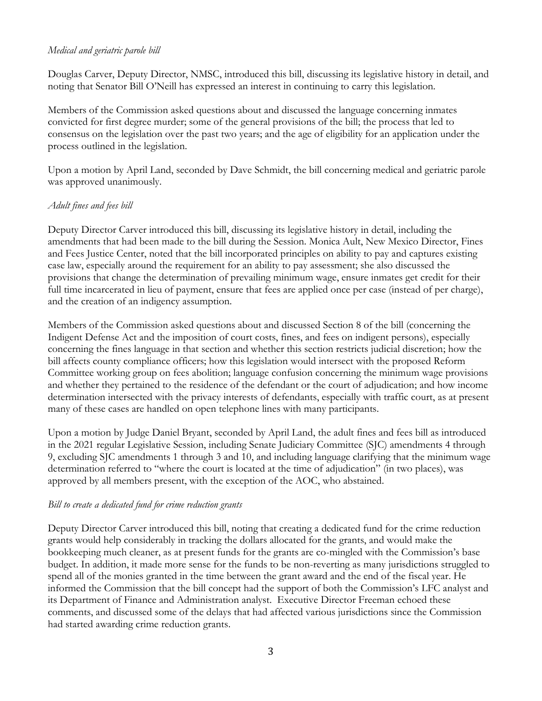### *Medical and geriatric parole bill*

Douglas Carver, Deputy Director, NMSC, introduced this bill, discussing its legislative history in detail, and noting that Senator Bill O'Neill has expressed an interest in continuing to carry this legislation.

Members of the Commission asked questions about and discussed the language concerning inmates convicted for first degree murder; some of the general provisions of the bill; the process that led to consensus on the legislation over the past two years; and the age of eligibility for an application under the process outlined in the legislation.

Upon a motion by April Land, seconded by Dave Schmidt, the bill concerning medical and geriatric parole was approved unanimously.

#### *Adult fines and fees bill*

Deputy Director Carver introduced this bill, discussing its legislative history in detail, including the amendments that had been made to the bill during the Session. Monica Ault, New Mexico Director, Fines and Fees Justice Center, noted that the bill incorporated principles on ability to pay and captures existing case law, especially around the requirement for an ability to pay assessment; she also discussed the provisions that change the determination of prevailing minimum wage, ensure inmates get credit for their full time incarcerated in lieu of payment, ensure that fees are applied once per case (instead of per charge), and the creation of an indigency assumption.

Members of the Commission asked questions about and discussed Section 8 of the bill (concerning the Indigent Defense Act and the imposition of court costs, fines, and fees on indigent persons), especially concerning the fines language in that section and whether this section restricts judicial discretion; how the bill affects county compliance officers; how this legislation would intersect with the proposed Reform Committee working group on fees abolition; language confusion concerning the minimum wage provisions and whether they pertained to the residence of the defendant or the court of adjudication; and how income determination intersected with the privacy interests of defendants, especially with traffic court, as at present many of these cases are handled on open telephone lines with many participants.

Upon a motion by Judge Daniel Bryant, seconded by April Land, the adult fines and fees bill as introduced in the 2021 regular Legislative Session, including Senate Judiciary Committee (SJC) amendments 4 through 9, excluding SJC amendments 1 through 3 and 10, and including language clarifying that the minimum wage determination referred to "where the court is located at the time of adjudication" (in two places), was approved by all members present, with the exception of the AOC, who abstained.

#### *Bill to create a dedicated fund for crime reduction grants*

Deputy Director Carver introduced this bill, noting that creating a dedicated fund for the crime reduction grants would help considerably in tracking the dollars allocated for the grants, and would make the bookkeeping much cleaner, as at present funds for the grants are co-mingled with the Commission's base budget. In addition, it made more sense for the funds to be non-reverting as many jurisdictions struggled to spend all of the monies granted in the time between the grant award and the end of the fiscal year. He informed the Commission that the bill concept had the support of both the Commission's LFC analyst and its Department of Finance and Administration analyst. Executive Director Freeman echoed these comments, and discussed some of the delays that had affected various jurisdictions since the Commission had started awarding crime reduction grants.